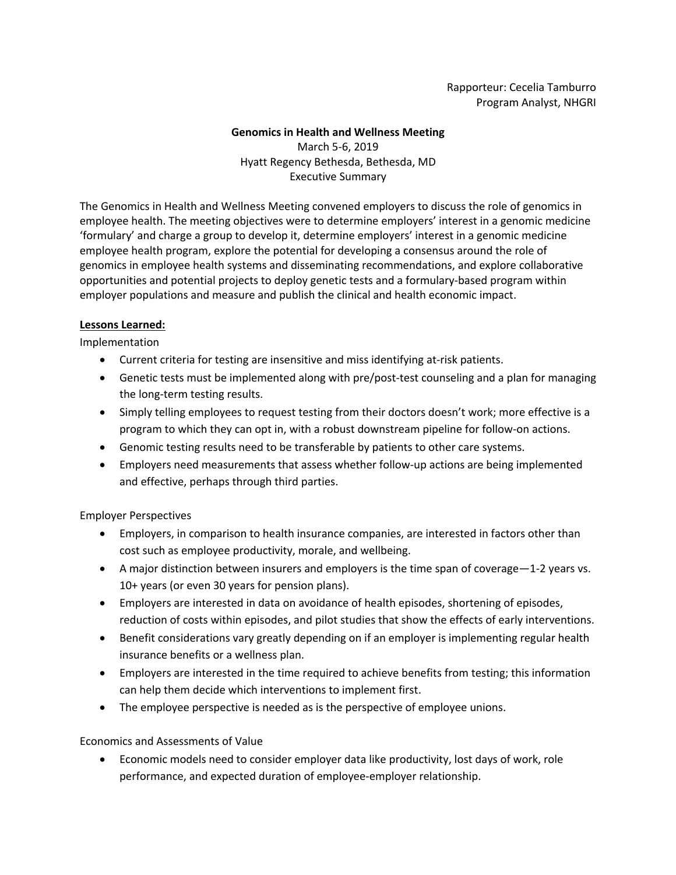Rapporteur: Cecelia Tamburro Program Analyst, NHGRI

### **Genomics in Health and Wellness Meeting**  March 5-6, 2019 Hyatt Regency Bethesda, Bethesda, MD Executive Summary

The Genomics in Health and Wellness Meeting convened employers to discuss the role of genomics in employee health. The meeting objectives were to determine employers' interest in a genomic medicine 'formulary' and charge a group to develop it, determine employers' interest in a genomic medicine employee health program, explore the potential for developing a consensus around the role of genomics in employee health systems and disseminating recommendations, and explore collaborative opportunities and potential projects to deploy genetic tests and a formulary-based program within employer populations and measure and publish the clinical and health economic impact.

### **Lessons Learned:**

Implementation

- Current criteria for testing are insensitive and miss identifying at-risk patients.
- Genetic tests must be implemented along with pre/post-test counseling and a plan for managing the long-term testing results.
- Simply telling employees to request testing from their doctors doesn't work; more effective is a program to which they can opt in, with a robust downstream pipeline for follow-on actions.
- Genomic testing results need to be transferable by patients to other care systems.
- Employers need measurements that assess whether follow-up actions are being implemented and effective, perhaps through third parties.

Employer Perspectives

- Employers, in comparison to health insurance companies, are interested in factors other than cost such as employee productivity, morale, and wellbeing.
- A major distinction between insurers and employers is the time span of coverage—1-2 years vs. 10+ years (or even 30 years for pension plans).
- Employers are interested in data on avoidance of health episodes, shortening of episodes, reduction of costs within episodes, and pilot studies that show the effects of early interventions.
- Benefit considerations vary greatly depending on if an employer is implementing regular health insurance benefits or a wellness plan.
- Employers are interested in the time required to achieve benefits from testing; this information can help them decide which interventions to implement first.
- The employee perspective is needed as is the perspective of employee unions.

Economics and Assessments of Value

• Economic models need to consider employer data like productivity, lost days of work, role performance, and expected duration of employee-employer relationship.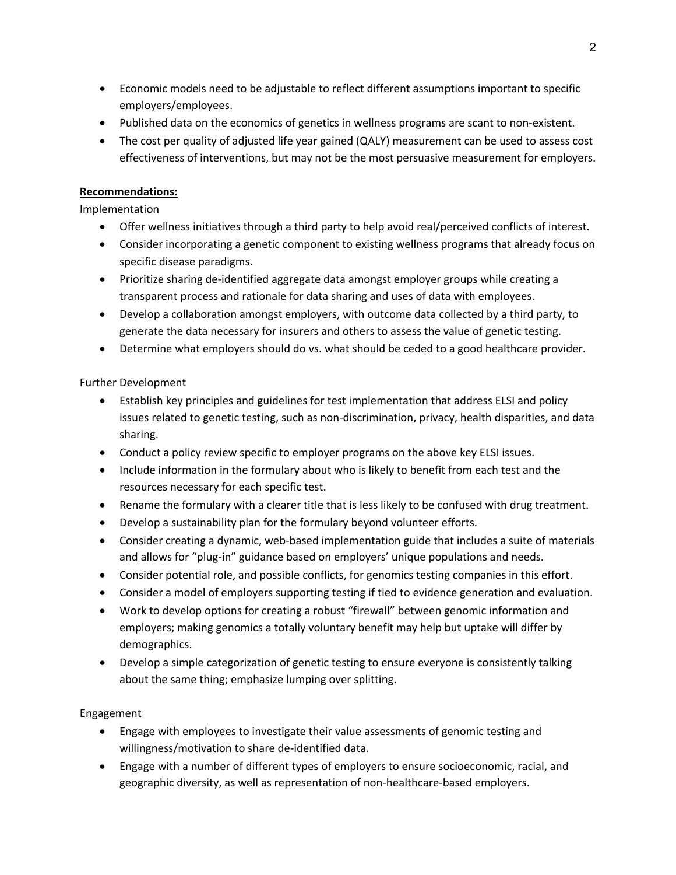- Economic models need to be adjustable to reflect different assumptions important to specific employers/employees.
- Published data on the economics of genetics in wellness programs are scant to non-existent.
- The cost per quality of adjusted life year gained (QALY) measurement can be used to assess cost effectiveness of interventions, but may not be the most persuasive measurement for employers.

## **Recommendations:**

Implementation

- Offer wellness initiatives through a third party to help avoid real/perceived conflicts of interest.
- Consider incorporating a genetic component to existing wellness programs that already focus on specific disease paradigms.
- Prioritize sharing de-identified aggregate data amongst employer groups while creating a transparent process and rationale for data sharing and uses of data with employees.
- Develop a collaboration amongst employers, with outcome data collected by a third party, to generate the data necessary for insurers and others to assess the value of genetic testing.
- Determine what employers should do vs. what should be ceded to a good healthcare provider.

# Further Development

- Establish key principles and guidelines for test implementation that address ELSI and policy issues related to genetic testing, such as non-discrimination, privacy, health disparities, and data sharing.
- Conduct a policy review specific to employer programs on the above key ELSI issues.
- Include information in the formulary about who is likely to benefit from each test and the resources necessary for each specific test.
- Rename the formulary with a clearer title that is less likely to be confused with drug treatment.
- Develop a sustainability plan for the formulary beyond volunteer efforts.
- Consider creating a dynamic, web-based implementation guide that includes a suite of materials and allows for "plug-in" guidance based on employers' unique populations and needs.
- Consider potential role, and possible conflicts, for genomics testing companies in this effort.
- Consider a model of employers supporting testing if tied to evidence generation and evaluation.
- Work to develop options for creating a robust "firewall" between genomic information and employers; making genomics a totally voluntary benefit may help but uptake will differ by demographics.
- Develop a simple categorization of genetic testing to ensure everyone is consistently talking about the same thing; emphasize lumping over splitting.

### Engagement

- Engage with employees to investigate their value assessments of genomic testing and willingness/motivation to share de-identified data.
- Engage with a number of different types of employers to ensure socioeconomic, racial, and geographic diversity, as well as representation of non-healthcare-based employers.